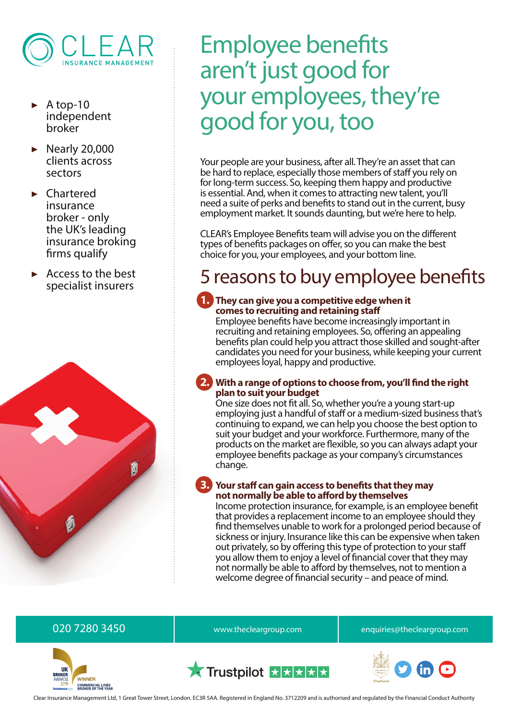

- A top-10 independent broker
- ▶ Nearly 20,000 clients across sectors
- **Chartered** insurance broker - only the UK's leading insurance broking firms qualify
- ▶ Access to the best specialist insurers



# Employee benefits aren't just good for your employees, they're good for you, too

Your people are your business, after all. They're an asset that can be hard to replace, especially those members of staff you rely on for long-term success. So, keeping them happy and productive is essential. And, when it comes to attracting new talent, you'll need a suite of perks and benefits to stand out in the current, busy employment market. It sounds daunting, but we're here to help.

CLEAR's Employee Benefits team will advise you on the different types of benefits packages on offer, so you can make the best choice for you, your employees, and your bottom line.

## 5 reasons to buy employee benefits

## **1. They can give you a competitive edge when it comes to recruiting and retaining staff**

Employee benefits have become increasingly important in recruiting and retaining employees. So, offering an appealing benefits plan could help you attract those skilled and sought-after candidates you need for your business, while keeping your current employees loyal, happy and productive.

## **2. With a range of options to choose from, you'll find the right plan to suit your budget**

One size does not fit all. So, whether you're a young start-up employing just a handful of staff or a medium-sized business that's continuing to expand, we can help you choose the best option to suit your budget and your workforce. Furthermore, many of the products on the market are flexible, so you can always adapt your employee benefits package as your company's circumstances change.

## **3. Your staff can gain access to benefits that they may not normally be able to afford by themselves**

Income protection insurance, for example, is an employee benefit that provides a replacement income to an employee should they find themselves unable to work for a prolonged period because of sickness or injury. Insurance like this can be expensive when taken out privately, so by offering this type of protection to your staff you allow them to enjoy a level of financial cover that they may not normally be able to afford by themselves, not to mention a welcome degree of financial security – and peace of mind.



020 7280 3450 **b** www.thecleargroup.com enquiries@thecleargroup.com



Clear Insurance Management Ltd, 1 Great Tower Street, London. EC3R 5AA. Registered in England No. 3712209 and is authorised and regulated by the Financial Conduct Authority